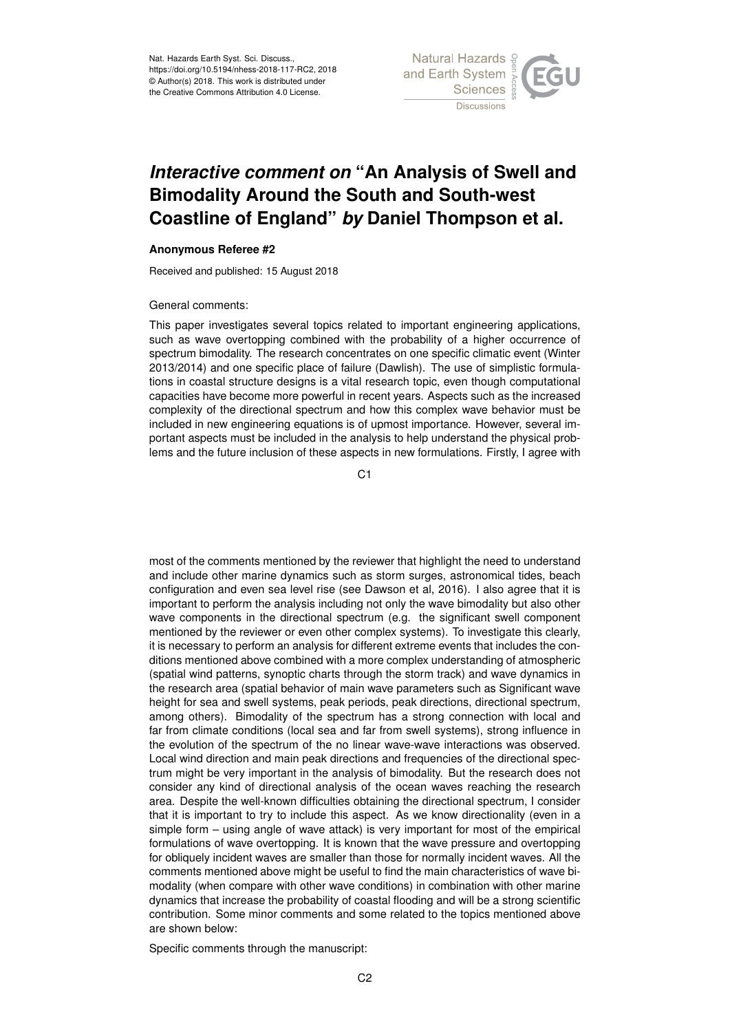

## *Interactive comment on* **"An Analysis of Swell and Bimodality Around the South and South-west Coastline of England"** *by* **Daniel Thompson et al.**

## **Anonymous Referee #2**

Received and published: 15 August 2018

## General comments:

This paper investigates several topics related to important engineering applications, such as wave overtopping combined with the probability of a higher occurrence of spectrum bimodality. The research concentrates on one specific climatic event (Winter 2013/2014) and one specific place of failure (Dawlish). The use of simplistic formulations in coastal structure designs is a vital research topic, even though computational capacities have become more powerful in recent years. Aspects such as the increased complexity of the directional spectrum and how this complex wave behavior must be included in new engineering equations is of upmost importance. However, several important aspects must be included in the analysis to help understand the physical problems and the future inclusion of these aspects in new formulations. Firstly, I agree with

C<sub>1</sub>

most of the comments mentioned by the reviewer that highlight the need to understand and include other marine dynamics such as storm surges, astronomical tides, beach configuration and even sea level rise (see Dawson et al, 2016). I also agree that it is important to perform the analysis including not only the wave bimodality but also other wave components in the directional spectrum (e.g. the significant swell component mentioned by the reviewer or even other complex systems). To investigate this clearly, it is necessary to perform an analysis for different extreme events that includes the conditions mentioned above combined with a more complex understanding of atmospheric (spatial wind patterns, synoptic charts through the storm track) and wave dynamics in the research area (spatial behavior of main wave parameters such as Significant wave height for sea and swell systems, peak periods, peak directions, directional spectrum, among others). Bimodality of the spectrum has a strong connection with local and far from climate conditions (local sea and far from swell systems), strong influence in the evolution of the spectrum of the no linear wave-wave interactions was observed. Local wind direction and main peak directions and frequencies of the directional spectrum might be very important in the analysis of bimodality. But the research does not consider any kind of directional analysis of the ocean waves reaching the research area. Despite the well-known difficulties obtaining the directional spectrum, I consider that it is important to try to include this aspect. As we know directionality (even in a simple form – using angle of wave attack) is very important for most of the empirical formulations of wave overtopping. It is known that the wave pressure and overtopping for obliquely incident waves are smaller than those for normally incident waves. All the comments mentioned above might be useful to find the main characteristics of wave bimodality (when compare with other wave conditions) in combination with other marine dynamics that increase the probability of coastal flooding and will be a strong scientific contribution. Some minor comments and some related to the topics mentioned above are shown below:

Specific comments through the manuscript: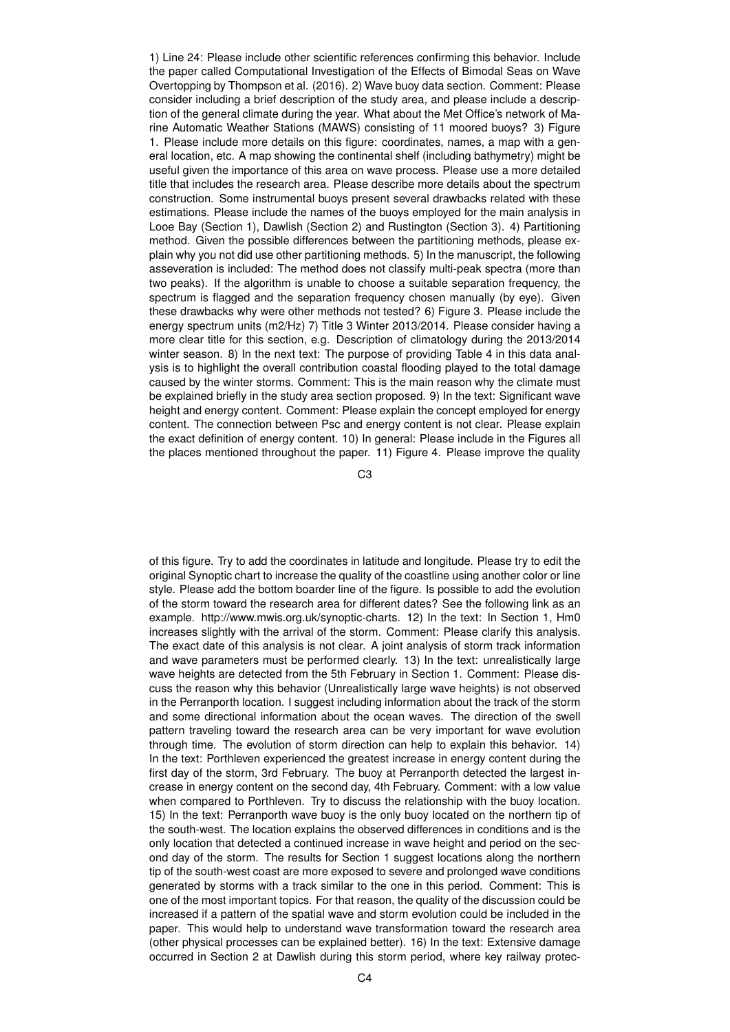1) Line 24: Please include other scientific references confirming this behavior. Include the paper called Computational Investigation of the Effects of Bimodal Seas on Wave Overtopping by Thompson et al. (2016). 2) Wave buoy data section. Comment: Please consider including a brief description of the study area, and please include a description of the general climate during the year. What about the Met Office's network of Marine Automatic Weather Stations (MAWS) consisting of 11 moored buoys? 3) Figure 1. Please include more details on this figure: coordinates, names, a map with a general location, etc. A map showing the continental shelf (including bathymetry) might be useful given the importance of this area on wave process. Please use a more detailed title that includes the research area. Please describe more details about the spectrum construction. Some instrumental buoys present several drawbacks related with these estimations. Please include the names of the buoys employed for the main analysis in Looe Bay (Section 1), Dawlish (Section 2) and Rustington (Section 3). 4) Partitioning method. Given the possible differences between the partitioning methods, please explain why you not did use other partitioning methods. 5) In the manuscript, the following asseveration is included: The method does not classify multi-peak spectra (more than two peaks). If the algorithm is unable to choose a suitable separation frequency, the spectrum is flagged and the separation frequency chosen manually (by eye). Given these drawbacks why were other methods not tested? 6) Figure 3. Please include the energy spectrum units (m2/Hz) 7) Title 3 Winter 2013/2014. Please consider having a more clear title for this section, e.g. Description of climatology during the 2013/2014 winter season. 8) In the next text: The purpose of providing Table 4 in this data analysis is to highlight the overall contribution coastal flooding played to the total damage caused by the winter storms. Comment: This is the main reason why the climate must be explained briefly in the study area section proposed. 9) In the text: Significant wave height and energy content. Comment: Please explain the concept employed for energy content. The connection between Psc and energy content is not clear. Please explain the exact definition of energy content. 10) In general: Please include in the Figures all the places mentioned throughout the paper. 11) Figure 4. Please improve the quality

C3

of this figure. Try to add the coordinates in latitude and longitude. Please try to edit the original Synoptic chart to increase the quality of the coastline using another color or line style. Please add the bottom boarder line of the figure. Is possible to add the evolution of the storm toward the research area for different dates? See the following link as an example. http://www.mwis.org.uk/synoptic-charts. 12) In the text: In Section 1, Hm0 increases slightly with the arrival of the storm. Comment: Please clarify this analysis. The exact date of this analysis is not clear. A joint analysis of storm track information and wave parameters must be performed clearly. 13) In the text: unrealistically large wave heights are detected from the 5th February in Section 1. Comment: Please discuss the reason why this behavior (Unrealistically large wave heights) is not observed in the Perranporth location. I suggest including information about the track of the storm and some directional information about the ocean waves. The direction of the swell pattern traveling toward the research area can be very important for wave evolution through time. The evolution of storm direction can help to explain this behavior. 14) In the text: Porthleven experienced the greatest increase in energy content during the first day of the storm, 3rd February. The buoy at Perranporth detected the largest increase in energy content on the second day, 4th February. Comment: with a low value when compared to Porthleven. Try to discuss the relationship with the buoy location. 15) In the text: Perranporth wave buoy is the only buoy located on the northern tip of the south-west. The location explains the observed differences in conditions and is the only location that detected a continued increase in wave height and period on the second day of the storm. The results for Section 1 suggest locations along the northern tip of the south-west coast are more exposed to severe and prolonged wave conditions generated by storms with a track similar to the one in this period. Comment: This is one of the most important topics. For that reason, the quality of the discussion could be increased if a pattern of the spatial wave and storm evolution could be included in the paper. This would help to understand wave transformation toward the research area (other physical processes can be explained better). 16) In the text: Extensive damage occurred in Section 2 at Dawlish during this storm period, where key railway protec